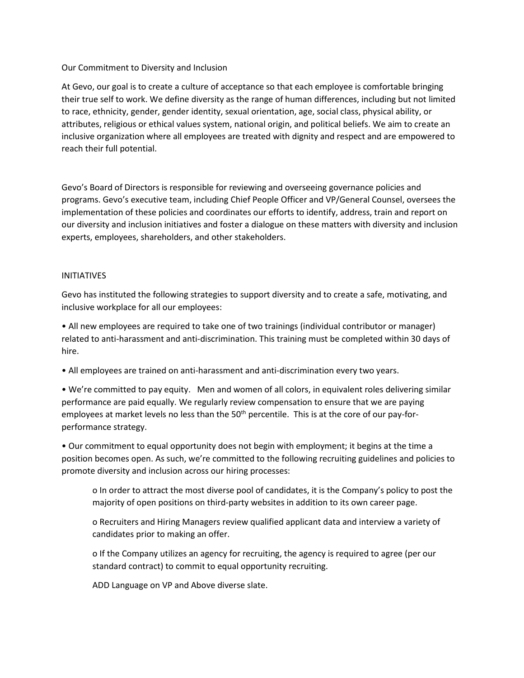## Our Commitment to Diversity and Inclusion

At Gevo, our goal is to create a culture of acceptance so that each employee is comfortable bringing their true self to work. We define diversity as the range of human differences, including but not limited to race, ethnicity, gender, gender identity, sexual orientation, age, social class, physical ability, or attributes, religious or ethical values system, national origin, and political beliefs. We aim to create an inclusive organization where all employees are treated with dignity and respect and are empowered to reach their full potential.

Gevo's Board of Directors is responsible for reviewing and overseeing governance policies and programs. Gevo's executive team, including Chief People Officer and VP/General Counsel, oversees the implementation of these policies and coordinates our efforts to identify, address, train and report on our diversity and inclusion initiatives and foster a dialogue on these matters with diversity and inclusion experts, employees, shareholders, and other stakeholders.

## INITIATIVES

Gevo has instituted the following strategies to support diversity and to create a safe, motivating, and inclusive workplace for all our employees:

• All new employees are required to take one of two trainings (individual contributor or manager) related to anti-harassment and anti-discrimination. This training must be completed within 30 days of hire.

• All employees are trained on anti-harassment and anti-discrimination every two years.

• We're committed to pay equity. Men and women of all colors, in equivalent roles delivering similar performance are paid equally. We regularly review compensation to ensure that we are paying employees at market levels no less than the 50<sup>th</sup> percentile. This is at the core of our pay-forperformance strategy.

• Our commitment to equal opportunity does not begin with employment; it begins at the time a position becomes open. As such, we're committed to the following recruiting guidelines and policies to promote diversity and inclusion across our hiring processes:

o In order to attract the most diverse pool of candidates, it is the Company's policy to post the majority of open positions on third-party websites in addition to its own career page.

o Recruiters and Hiring Managers review qualified applicant data and interview a variety of candidates prior to making an offer.

o If the Company utilizes an agency for recruiting, the agency is required to agree (per our standard contract) to commit to equal opportunity recruiting.

ADD Language on VP and Above diverse slate.